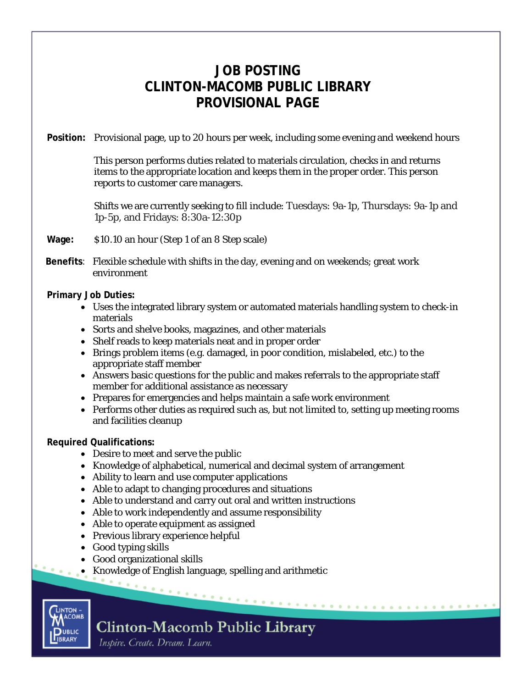## **JOB POSTING CLINTON-MACOMB PUBLIC LIBRARY PROVISIONAL PAGE**

**Position:** Provisional page, up to 20 hours per week, including some evening and weekend hours

This person performs duties related to materials circulation, checks in and returns items to the appropriate location and keeps them in the proper order. This person reports to customer care managers.

Shifts we are currently seeking to fill include: Tuesdays: 9a-1p, Thursdays: 9a-1p and 1p-5p, and Fridays: 8:30a-12:30p

**Wage:** \$10.10 an hour (Step 1 of an 8 Step scale)

**Benefits**: Flexible schedule with shifts in the day, evening and on weekends; great work environment

**Primary Job Duties:**

- Uses the integrated library system or automated materials handling system to check-in materials
- Sorts and shelve books, magazines, and other materials
- Shelf reads to keep materials neat and in proper order
- Brings problem items (e.g. damaged, in poor condition, mislabeled, etc.) to the appropriate staff member
- Answers basic questions for the public and makes referrals to the appropriate staff member for additional assistance as necessary
- Prepares for emergencies and helps maintain a safe work environment
- Performs other duties as required such as, but not limited to, setting up meeting rooms and facilities cleanup

**Required Qualifications:**

- Desire to meet and serve the public
- Knowledge of alphabetical, numerical and decimal system of arrangement
- Ability to learn and use computer applications
- Able to adapt to changing procedures and situations
- Able to understand and carry out oral and written instructions
- Able to work independently and assume responsibility
- Able to operate equipment as assigned
- Previous library experience helpful
- Good typing skills
- Good organizational skills
- Knowledge of English language, spelling and arithmetic



## **Clinton-Macomb Public Library**

Inspire. Create. Dream. Learn.